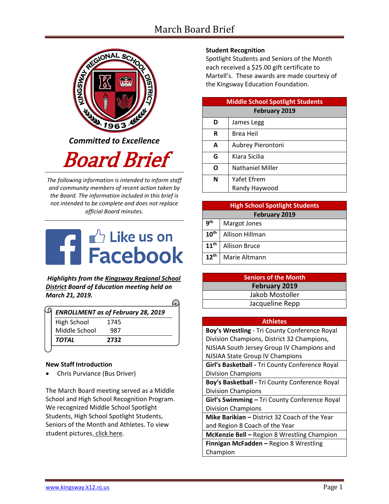# March Board Brief



*Committed to Excellence*

Board Brief

*The following information is intended to inform staff and community members of recent action taken by the Board. The information included in this brief is not intended to be complete and does not replace official Board minutes.*



*Highlights from the [Kingsway Regional School](https://www.facebook.com/KingswayDragons)  [District](https://www.facebook.com/KingswayDragons) Board of Education meeting held on March 21, 2019.*

| <b>ENROLLMENT as of February 28, 2019</b> |  |
|-------------------------------------------|--|
| 1745                                      |  |
| 987                                       |  |
| 2732                                      |  |
|                                           |  |

## **New Staff Introduction**

Chris Purviance (Bus Driver)

The March Board meeting served as a Middle School and High School Recognition Program. We recognized Middle School Spotlight Students, High School Spotlight Students, Seniors of the Month and Athletes. To view student pictures, [click here.](http://www.krsd.org/Page/1303)

## **Student Recognition**

Spotlight Students and Seniors of the Month each received a \$25.00 gift certificate to Martell's. These awards are made courtesy of the Kingsway Education Foundation.

| <b>Middle School Spotlight Students</b> |                         |  |  |  |
|-----------------------------------------|-------------------------|--|--|--|
| <b>February 2019</b>                    |                         |  |  |  |
| D                                       | James Legg              |  |  |  |
| R                                       | Brea Heil               |  |  |  |
| A                                       | Aubrey Pierontoni       |  |  |  |
| G                                       | Kiara Sicilia           |  |  |  |
| ი                                       | <b>Nathaniel Miller</b> |  |  |  |
| N                                       | Yafet Efrem             |  |  |  |
|                                         | Randy Haywood           |  |  |  |

| <b>High School Spotlight Students</b> |                      |  |  |  |
|---------------------------------------|----------------------|--|--|--|
| <b>February 2019</b>                  |                      |  |  |  |
| q <sup>th</sup>                       | Margot Jones         |  |  |  |
| 10 <sup>th</sup>                      | Allison Hillman      |  |  |  |
| 11 <sup>th</sup>                      | <b>Allison Bruce</b> |  |  |  |
| 12 <sup>th</sup>                      | Marie Altmann        |  |  |  |

| <b>Seniors of the Month</b> |  |  |
|-----------------------------|--|--|
| February 2019               |  |  |
| Jakob Mostoller             |  |  |
| Jacqueline Repp             |  |  |

#### **Athletes**

| Boy's Wrestling - Tri County Conference Royal   |  |  |  |
|-------------------------------------------------|--|--|--|
| Division Champions, District 32 Champions,      |  |  |  |
| NJSIAA South Jersey Group IV Champions and      |  |  |  |
| NJSIAA State Group IV Champions                 |  |  |  |
| Girl's Basketball - Tri County Conference Royal |  |  |  |
| <b>Division Champions</b>                       |  |  |  |
| Boy's Basketball - Tri County Conference Royal  |  |  |  |
| <b>Division Champions</b>                       |  |  |  |
| Girl's Swimming - Tri County Conference Royal   |  |  |  |
| <b>Division Champions</b>                       |  |  |  |
| Mike Barikian - District 32 Coach of the Year   |  |  |  |
| and Region 8 Coach of the Year                  |  |  |  |
| McKenzie Bell - Region 8 Wrestling Champion     |  |  |  |
| Finnigan McFadden - Region 8 Wrestling          |  |  |  |
| Champion                                        |  |  |  |
|                                                 |  |  |  |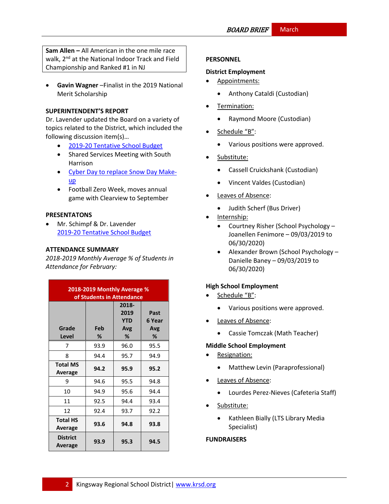**Sam Allen –** All American in the one mile race walk, 2<sup>nd</sup> at the National Indoor Track and Field Championship and Ranked #1 in NJ

 **Gavin Wagner** –Finalist in the 2019 National Merit Scholarship

### **SUPERINTENDENT'S REPORT**

Dr. Lavender updated the Board on a variety of topics related to the District, which included the following discussion item(s)…

- [2019-20 Tentative School Budget](https://www.krsd.org/site/handlers/filedownload.ashx?moduleinstanceid=909&dataid=5822&FileName=2019-20%20Tentative%20Budget%20in%20Brief.pdf)
- Shared Services Meeting with South Harrison
- [Cyber Day to replace Snow Day Make](https://www.krsd.org/cms/lib/NJ01912751/Centricity/Domain/4/PR%20Kingsway%20announces%20Cyber%20Day%20to%20replace%20Snow%20Day%203.22.2019.pdf)[up](https://www.krsd.org/cms/lib/NJ01912751/Centricity/Domain/4/PR%20Kingsway%20announces%20Cyber%20Day%20to%20replace%20Snow%20Day%203.22.2019.pdf)
- Football Zero Week, moves annual game with Clearview to September

## **PRESENTATONS**

 Mr. Schimpf & Dr. Lavender [2019-20 Tentative School Budget](https://www.krsd.org/site/handlers/filedownload.ashx?moduleinstanceid=909&dataid=5822&FileName=2019-20%20Tentative%20Budget%20in%20Brief.pdf)

## **ATTENDANCE SUMMARY**

*2018-2019 Monthly Average % of Students in Attendance for February:*

| 2018-2019 Monthly Average %<br>of Students in Attendance |          |                                         |                            |  |
|----------------------------------------------------------|----------|-----------------------------------------|----------------------------|--|
| Grade<br>Level                                           | Feb<br>℅ | 2018-<br>2019<br><b>YTD</b><br>Avg<br>% | Past<br>6 Year<br>Avg<br>℅ |  |
| 7                                                        | 93.9     | 96.0                                    | 95.5                       |  |
| 8                                                        | 94.4     | 95.7                                    | 94.9                       |  |
| <b>Total MS</b><br>Average                               | 94.2     | 95.9                                    | 95.2                       |  |
| 9                                                        | 94.6     | 95.5                                    | 94.8                       |  |
| 10                                                       | 94.9     | 95.6                                    | 94.4                       |  |
| 11                                                       | 92.5     | 94.4                                    | 93.4                       |  |
| 12                                                       | 92.4     | 93.7                                    | 92.2                       |  |
| <b>Total HS</b><br>Average                               | 93.6     | 94.8                                    | 93.8                       |  |
| <b>District</b><br>Average                               | 93.9     | 95.3                                    | 94.5                       |  |

#### **PERSONNEL**

#### **District Employment**

- Appointments:
	- Anthony Cataldi (Custodian)
- Termination:
	- Raymond Moore (Custodian)
- Schedule "B":
	- Various positions were approved.
- Substitute:
	- Cassell Cruickshank (Custodian)
	- Vincent Valdes (Custodian)
- Leaves of Absence:
	- Judith Scherf (Bus Driver)
- Internship:
	- Courtney Risher (School Psychology Joanellen Fenimore – 09/03/2019 to 06/30/2020)
	- Alexander Brown (School Psychology Danielle Baney – 09/03/2019 to 06/30/2020)

#### **High School Employment**

- Schedule "B":
	- Various positions were approved.
- Leaves of Absence:
	- Cassie Tomczak (Math Teacher)

#### **Middle School Employment**

- Resignation:
	- Matthew Levin (Paraprofessional)
- Leaves of Absence:
	- Lourdes Perez-Nieves (Cafeteria Staff)
- Substitute:
	- Kathleen Bially (LTS Library Media Specialist)

#### **FUNDRAISERS**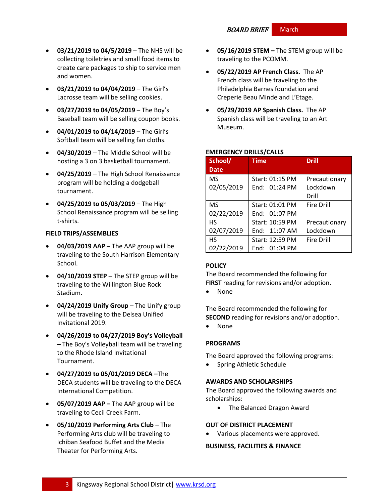- **03/21/2019 to 04/5/2019** The NHS will be collecting toiletries and small food items to create care packages to ship to service men and women.
- **03/21/2019 to 04/04/2019**  The Girl's Lacrosse team will be selling cookies.
- **03/27/2019 to 04/05/2019**  The Boy's Baseball team will be selling coupon books.
- **04/01/2019 to 04/14/2019**  The Girl's Softball team will be selling fan cloths.
- **04/30/2019**  The Middle School will be hosting a 3 on 3 basketball tournament.
- **04/25/2019**  The High School Renaissance program will be holding a dodgeball tournament.
- **04/25/2019 to 05/03/2019**  The High School Renaissance program will be selling t-shirts.

## **FIELD TRIPS/ASSEMBLIES**

- **04/03/2019 AAP –** The AAP group will be traveling to the South Harrison Elementary School.
- **04/10/2019 STEP** The STEP group will be traveling to the Willington Blue Rock Stadium.
- **04/24/2019 Unify Group** The Unify group will be traveling to the Delsea Unified Invitational 2019.
- **04/26/2019 to 04/27/2019 Boy's Volleyball –** The Boy's Volleyball team will be traveling to the Rhode Island Invitational Tournament.
- **04/27/2019 to 05/01/2019 DECA –**The DECA students will be traveling to the DECA International Competition.
- **05/07/2019 AAP –** The AAP group will be traveling to Cecil Creek Farm.
- **05/10/2019 Performing Arts Club –** The Performing Arts club will be traveling to Ichiban Seafood Buffet and the Media Theater for Performing Arts.
- **05/16/2019 STEM –** The STEM group will be traveling to the PCOMM.
- **05/22/2019 AP French Class.** The AP French class will be traveling to the Philadelphia Barnes foundation and Creperie Beau Minde and L'Etage.
- **05/29/2019 AP Spanish Class.** The AP Spanish class will be traveling to an Art Museum.

## **EMERGENCY DRILLS/CALLS**

| School/<br><b>Date</b>                | <b>Time</b>                                         | <b>Drill</b>                       |
|---------------------------------------|-----------------------------------------------------|------------------------------------|
| <b>MS</b><br>02/05/2019               | Start: 01:15 PM<br>End: 01:24 PM                    | Precautionary<br>Lockdown<br>Drill |
| MS                                    | Start: 01:01 PM                                     | <b>Fire Drill</b>                  |
| 02/22/2019<br><b>HS</b><br>02/07/2019 | $End: 01:07$ PM<br>Start: 10:59 PM<br>End: 11:07 AM | Precautionary<br>Lockdown          |
| <b>HS</b><br>02/22/2019               | Start: 12:59 PM<br>End: $01:04$ PM                  | <b>Fire Drill</b>                  |

## **[POLICY](http://www.straussesmay.com/seportal/Public/DistrictPolicyTOC.aspx?id=f0cc945ef3894b8d9ad5f87d948ca425&PolicyID=)**

The Board recommended the following for **FIRST** reading for revisions and/or adoption.

• None

The Board recommended the following for **SECOND** reading for revisions and/or adoption.

• None

## **PROGRAMS**

The Board approved the following programs:

Spring Athletic Schedule

#### **AWARDS AND SCHOLARSHIPS**

The Board approved the following awards and scholarships:

• The Balanced Dragon Award

#### **OUT OF DISTRICT PLACEMENT**

Various placements were approved.

## **BUSINESS, FACILITIES & FINANCE**